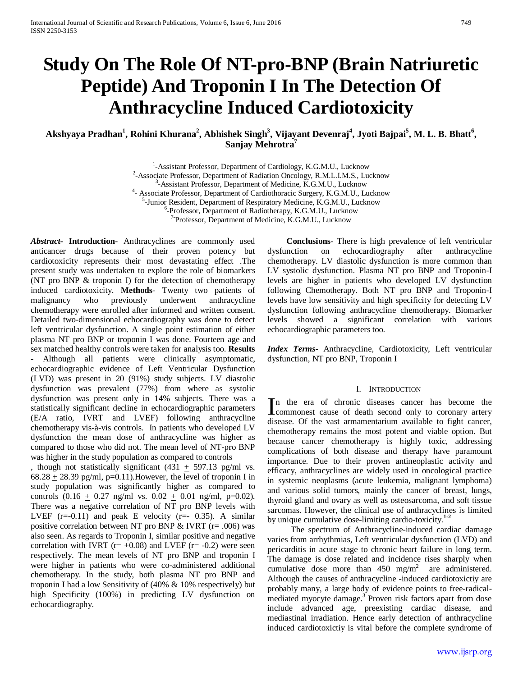# **Study On The Role Of NT-pro-BNP (Brain Natriuretic Peptide) And Troponin I In The Detection Of Anthracycline Induced Cardiotoxicity**

Akshyaya Pradhan<sup>1</sup>, Rohini Khurana<sup>2</sup>, Abhishek Singh<sup>3</sup>, Vijayant Devenraj<sup>4</sup>, Jyoti Bajpai<sup>5</sup>, M. L. B. Bhatt<sup>6</sup>, **Sanjay Mehrotra**<sup>7</sup>

> <sup>1</sup>-Assistant Professor, Department of Cardiology, K.G.M.U., Lucknow<br><sup>2</sup> Associate Professor, Department of Padiation Opeology, P.M.J. J.M.S., Lu  $^{2}$ -Associate Professor, Department of Radiation Oncology, R.M.L.I.M.S., Lucknow  $^{3}$ -Assistant Professor, Department of Medicine, K.G.M.U., Lucknow <sup>3</sup>-Assistant Professor, Department of Medicine, K.G.M.U., Lucknow  $\frac{4}{3}$  Associate Professor, Department of Cardiotheracic Surgery K.G.M.U. L - Associate Professor, Department of Cardiothoracic Surgery, K.G.M.U., Lucknow <sup>5</sup>-Junior Resident, Department of Respiratory Medicine, K.G.M.U., Lucknow <sup>6</sup>-Professor, Department of Radiotherapy, K.G.M.U., Lucknow <sup>7</sup> Professor, Department of Medicine, K.G.M.U., Lucknow

*Abstract***- Introduction**- Anthracyclines are commonly used anticancer drugs because of their proven potency but cardiotoxicity represents their most devastating effect .The present study was undertaken to explore the role of biomarkers (NT pro BNP & troponin I) for the detection of chemotherapy induced cardiotoxicity. **Methods**- Twenty two patients of malignancy who previously underwent anthracycline chemotherapy were enrolled after informed and written consent. Detailed two-dimensional echocardiography was done to detect left ventricular dysfunction. A single point estimation of either plasma NT pro BNP or troponin I was done. Fourteen age and sex matched healthy controls were taken for analysis too. **Results** Although all patients were clinically asymptomatic, echocardiographic evidence of Left Ventricular Dysfunction (LVD) was present in 20 (91%) study subjects. LV diastolic dysfunction was prevalent (77%) from where as systolic dysfunction was present only in 14% subjects. There was a statistically significant decline in echocardiographic parameters (E/A ratio, IVRT and LVEF) following anthracycline chemotherapy vis-à-vis controls. In patients who developed LV dysfunction the mean dose of anthracycline was higher as compared to those who did not. The mean level of NT-pro BNP was higher in the study population as compared to controls

, though not statistically significant  $(431 + 597.13$  pg/ml vs. 68.28  $\pm$  28.39 pg/ml, p=0.11). However, the level of troponin I in study population was significantly higher as compared to controls  $(0.16 \pm 0.27 \text{ ng/ml vs. } 0.02 \pm 0.01 \text{ ng/ml, p=0.02}).$ There was a negative correlation of NT pro BNP levels with LVEF  $(r=0.11)$  and peak E velocity  $(r=-0.35)$ . A similar positive correlation between NT pro BNP  $&$  IVRT (r= .006) was also seen. As regards to Troponin I, similar positive and negative correlation with IVRT ( $r=+0.08$ ) and LVEF ( $r=-0.2$ ) were seen respectively. The mean levels of NT pro BNP and troponin I were higher in patients who were co-administered additional chemotherapy. In the study, both plasma NT pro BNP and troponin I had a low Sensitivity of (40% & 10% respectively) but high Specificity (100%) in predicting LV dysfunction on echocardiography.

 **Conclusions**- There is high prevalence of left ventricular dysfunction on echocardiography after anthracycline chemotherapy. LV diastolic dysfunction is more common than LV systolic dysfunction. Plasma NT pro BNP and Troponin-I levels are higher in patients who developed LV dysfunction following Chemotherapy. Both NT pro BNP and Troponin-I levels have low sensitivity and high specificity for detecting LV dysfunction following anthracycline chemotherapy. Biomarker levels showed a significant correlation with various echocardiographic parameters too.

*Index Terms*- Anthracycline, Cardiotoxicity, Left ventricular dysfunction, NT pro BNP, Troponin I

#### I. INTRODUCTION

n the era of chronic diseases cancer has become the In the era of chronic diseases cancer has become the commonest cause of death second only to coronary artery disease. Of the vast armamentarium available to fight cancer, chemotherapy remains the most potent and viable option. But because cancer chemotherapy is highly toxic, addressing complications of both disease and therapy have paramount importance. Due to their proven antineoplastic activity and efficacy, anthracyclines are widely used in oncological practice in systemic neoplasms (acute leukemia, malignant lymphoma) and various solid tumors, mainly the cancer of breast, lungs, thyroid gland and ovary as well as osteosarcoma, and soft tissue sarcomas. However, the clinical use of anthracyclines is limited by unique cumulative dose-limiting cardio-toxicity.**1-2**

 The spectrum of Anthracycline-induced cardiac damage varies from arrhythmias, Left ventricular dysfunction (LVD) and pericarditis in acute stage to chronic heart failure in long term. The damage is dose related and incidence rises sharply when cumulative dose more than  $450 \text{ mg/m}^2$  are administered. Although the causes of anthracycline -induced cardiotoxictiy are probably many, a large body of evidence points to free-radicalmediated myocyte damage.<sup>3</sup> Proven risk factors apart from dose include advanced age, preexisting cardiac disease, and mediastinal irradiation. Hence early detection of anthracycline induced cardiotoxictiy is vital before the complete syndrome of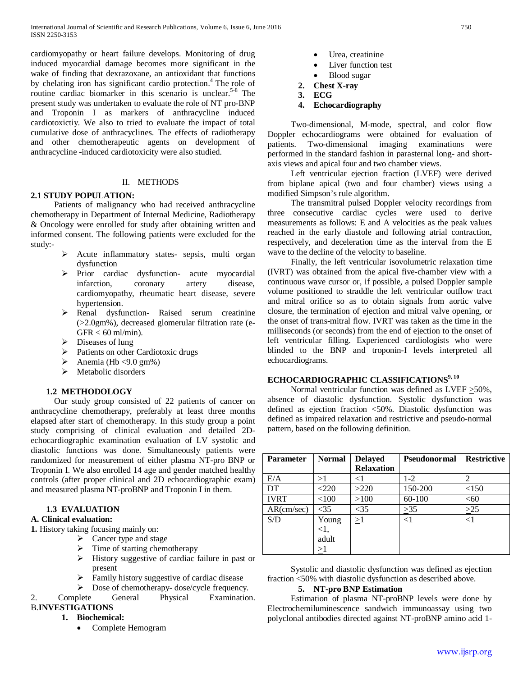cardiomyopathy or heart failure develops. Monitoring of drug induced myocardial damage becomes more significant in the wake of finding that dexrazoxane, an antioxidant that functions by chelating iron has significant cardio protection.<sup>4</sup> The role of routine cardiac biomarker in this scenario is unclear.<sup>5-8</sup> The present study was undertaken to evaluate the role of NT pro-BNP and Troponin I as markers of anthracycline induced cardiotoxictiy. We also to tried to evaluate the impact of total cumulative dose of anthracyclines. The effects of radiotherapy and other chemotherapeutic agents on development of anthracycline -induced cardiotoxicity were also studied.

#### II. METHODS

## **2.1 STUDY POPULATION:**

 Patients of malignancy who had received anthracycline chemotherapy in Department of Internal Medicine, Radiotherapy & Oncology were enrolled for study after obtaining written and informed consent. The following patients were excluded for the study:-

- Acute inflammatory states- sepsis, multi organ dysfunction
- $\triangleright$  Prior cardiac dysfunction- acute myocardial infarction, coronary artery disease, cardiomyopathy, rheumatic heart disease, severe hypertension.
- Renal dysfunction- Raised serum creatinine (>2.0gm%), decreased glomerular filtration rate (e- $GFR < 60$  ml/min).
- $\triangleright$  Diseases of lung
- $\triangleright$  Patients on other Cardiotoxic drugs
- $\blacktriangleright$  Anemia (Hb <9.0 gm%)
- > Metabolic disorders

## **1.2 METHODOLOGY**

 Our study group consisted of 22 patients of cancer on anthracycline chemotherapy, preferably at least three months elapsed after start of chemotherapy. In this study group a point study comprising of clinical evaluation and detailed 2Dechocardiographic examination evaluation of LV systolic and diastolic functions was done. Simultaneously patients were randomized for measurement of either plasma NT-pro BNP or Troponin I. We also enrolled 14 age and gender matched healthy controls (after proper clinical and 2D echocardiographic exam) and measured plasma NT-proBNP and Troponin I in them.

## **1.3 EVALUATION**

## **A. Clinical evaluation:**

**1.** History taking focusing mainly on:

- $\triangleright$  Cancer type and stage
- $\triangleright$  Time of starting chemotherapy
- History suggestive of cardiac failure in past or present
- $\triangleright$  Family history suggestive of cardiac disease
- $\triangleright$  Dose of chemotherapy-dose/cycle frequency.
- 2. Complete General Physical Examination. B.**INVESTIGATIONS**

#### **1. Biochemical:**

• Complete Hemogram

- Urea, creatinine
- Liver function test
- Blood sugar
- **2. Chest X-ray**
- **3. ECG**
- **4. Echocardiography**

 Two-dimensional, M-mode, spectral, and color flow Doppler echocardiograms were obtained for evaluation of patients. Two-dimensional imaging examinations were performed in the standard fashion in parasternal long- and shortaxis views and apical four and two chamber views.

 Left ventricular ejection fraction (LVEF) were derived from biplane apical (two and four chamber) views using a modified Simpson's rule algorithm.

 The transmitral pulsed Doppler velocity recordings from three consecutive cardiac cycles were used to derive measurements as follows: E and A velocities as the peak values reached in the early diastole and following atrial contraction, respectively, and deceleration time as the interval from the E wave to the decline of the velocity to baseline.

 Finally, the left ventricular isovolumetric relaxation time (IVRT) was obtained from the apical five-chamber view with a continuous wave cursor or, if possible, a pulsed Doppler sample volume positioned to straddle the left ventricular outflow tract and mitral orifice so as to obtain signals from aortic valve closure, the termination of ejection and mitral valve opening, or the onset of trans-mitral flow. IVRT was taken as the time in the milliseconds (or seconds) from the end of ejection to the onset of left ventricular filling. Experienced cardiologists who were blinded to the BNP and troponin-I levels interpreted all echocardiograms.

## **ECHOCARDIOGRAPHIC CLASSIFICATIONS<sup>9, 10</sup>**

 Normal ventricular function was defined as LVEF >50%, absence of diastolic dysfunction. Systolic dysfunction was defined as ejection fraction <50%. Diastolic dysfunction was defined as impaired relaxation and restrictive and pseudo-normal pattern, based on the following definition.

| <b>Parameter</b> | <b>Normal</b> | <b>Delayed</b>    | <b>Pseudonormal</b> | <b>Restrictive</b> |
|------------------|---------------|-------------------|---------------------|--------------------|
|                  |               | <b>Relaxation</b> |                     |                    |
| E/A              | >1            | $<$ 1             | $1 - 2$             | $\mathcal{D}$      |
| DT.              | $<$ 220       | >220              | 150-200             | <150               |
| <b>IVRT</b>      | < 100         | >100              | 60-100              | < 60               |
| AR(cm/sec)       | $<$ 35        | $<$ 35            | >35                 | >25                |
| S/D              | Young         | $\geq1$           | $<$ 1               | $<$ 1              |
|                  | $<$ 1.        |                   |                     |                    |
|                  | adult         |                   |                     |                    |
|                  | $\geq1$       |                   |                     |                    |

 Systolic and diastolic dysfunction was defined as ejection fraction <50% with diastolic dysfunction as described above.

#### **5. NT-pro BNP Estimation**

 Estimation of plasma NT-proBNP levels were done by Electrochemiluminescence sandwich immunoassay using two polyclonal antibodies directed against NT-proBNP amino acid 1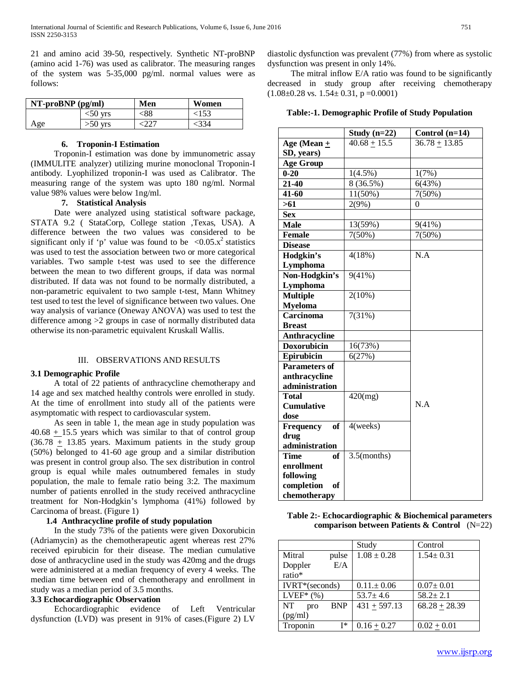21 and amino acid 39-50, respectively. Synthetic NT-proBNP (amino acid 1-76) was used as calibrator. The measuring ranges of the system was 5-35,000 pg/ml. normal values were as follows:

| $NT-proBNP$ (pg/ml) |            | Men | Women |
|---------------------|------------|-----|-------|
|                     | $<$ 50 vrs | <88 | <153  |
| Age                 | $>50$ yrs  |     | <334  |

#### **6. Troponin-I Estimation**

 Troponin-I estimation was done by immunometric assay (IMMULITE analyzer) utilizing murine monoclonal Troponin-I antibody. Lyophilized troponin-I was used as Calibrator. The measuring range of the system was upto 180 ng/ml. Normal value 98% values were below 1ng/ml.

## **7. Statistical Analysis**

 Date were analyzed using statistical software package, STATA 9.2 ( StataCorp, College station ,Texas, USA). A difference between the two values was considered to be significant only if 'p' value was found to be  $\langle 0.05 \, x^2 \rangle$  statistics was used to test the association between two or more categorical variables. Two sample t-test was used to see the difference between the mean to two different groups, if data was normal distributed. If data was not found to be normally distributed, a non-parametric equivalent to two sample t-test, Mann Whitney test used to test the level of significance between two values. One way analysis of variance (Oneway ANOVA) was used to test the difference among >2 groups in case of normally distributed data otherwise its non-parametric equivalent Kruskall Wallis.

#### III. OBSERVATIONS AND RESULTS

#### **3.1 Demographic Profile**

 A total of 22 patients of anthracycline chemotherapy and 14 age and sex matched healthy controls were enrolled in study. At the time of enrollment into study all of the patients were asymptomatic with respect to cardiovascular system.

 As seen in table 1, the mean age in study population was  $40.68 + 15.5$  years which was similar to that of control group  $(36.78 + 13.85)$  years. Maximum patients in the study group (50%) belonged to 41-60 age group and a similar distribution was present in control group also. The sex distribution in control group is equal while males outnumbered females in study population, the male to female ratio being 3:2. The maximum number of patients enrolled in the study received anthracycline treatment for Non-Hodgkin's lymphoma (41%) followed by Carcinoma of breast. (Figure 1)

## **1.4 Anthracycline profile of study population**

 In the study 73% of the patients were given Doxorubicin (Adriamycin) as the chemotherapeutic agent whereas rest 27% received epirubicin for their disease. The median cumulative dose of anthracycline used in the study was 420mg and the drugs were administered at a median frequency of every 4 weeks. The median time between end of chemotherapy and enrollment in study was a median period of 3.5 months.

#### **3.3 Echocardiographic Observation**

 Echocardiographic evidence of Left Ventricular dysfunction (LVD) was present in 91% of cases.(Figure 2) LV

diastolic dysfunction was prevalent (77%) from where as systolic dysfunction was present in only 14%.

 The mitral inflow E/A ratio was found to be significantly decreased in study group after receiving chemotherapy  $(1.08\pm0.28 \text{ vs. } 1.54\pm0.31, \text{ p = } 0.0001)$ 

**Table:-1. Demographic Profile of Study Population**

| Study $(n=22)$<br>Control $(n=14)$<br>Age (Mean $+$<br>$40.68 + 15.5$<br>$36.78 + 13.85$<br>SD, years)<br><b>Age Group</b><br>$1(4.5\%)$<br>$0 - 20$<br>1(7%)<br>$21 - 40$<br>8 (36.5%)<br>6(43%)<br>$41 - 60$<br>$11(50\%)$<br>7(50%)<br>2(9%)<br>>61<br>0<br><b>Sex</b><br><b>Male</b><br>13(59%)<br>9(41%)<br>$7(50\%)$<br>7(50%)<br><b>Female</b><br><b>Disease</b><br>$\overline{N.A}$<br>Hodgkin's<br>4(18%)<br>Lymphoma<br>Non-Hodgkin's<br>9(41%)<br>Lymphoma<br><b>Multiple</b><br>$2(10\%)$<br><b>Myeloma</b><br><b>Carcinoma</b><br>7(31%)<br><b>Breast</b><br>Anthracycline<br><b>Doxorubicin</b><br>16(73%)<br>Epirubicin<br>6(27%)<br><b>Parameters of</b><br>anthracycline<br>administration |
|-------------------------------------------------------------------------------------------------------------------------------------------------------------------------------------------------------------------------------------------------------------------------------------------------------------------------------------------------------------------------------------------------------------------------------------------------------------------------------------------------------------------------------------------------------------------------------------------------------------------------------------------------------------------------------------------------------------|
|                                                                                                                                                                                                                                                                                                                                                                                                                                                                                                                                                                                                                                                                                                             |
|                                                                                                                                                                                                                                                                                                                                                                                                                                                                                                                                                                                                                                                                                                             |
|                                                                                                                                                                                                                                                                                                                                                                                                                                                                                                                                                                                                                                                                                                             |
|                                                                                                                                                                                                                                                                                                                                                                                                                                                                                                                                                                                                                                                                                                             |
|                                                                                                                                                                                                                                                                                                                                                                                                                                                                                                                                                                                                                                                                                                             |
|                                                                                                                                                                                                                                                                                                                                                                                                                                                                                                                                                                                                                                                                                                             |
|                                                                                                                                                                                                                                                                                                                                                                                                                                                                                                                                                                                                                                                                                                             |
|                                                                                                                                                                                                                                                                                                                                                                                                                                                                                                                                                                                                                                                                                                             |
|                                                                                                                                                                                                                                                                                                                                                                                                                                                                                                                                                                                                                                                                                                             |
|                                                                                                                                                                                                                                                                                                                                                                                                                                                                                                                                                                                                                                                                                                             |
|                                                                                                                                                                                                                                                                                                                                                                                                                                                                                                                                                                                                                                                                                                             |
|                                                                                                                                                                                                                                                                                                                                                                                                                                                                                                                                                                                                                                                                                                             |
|                                                                                                                                                                                                                                                                                                                                                                                                                                                                                                                                                                                                                                                                                                             |
|                                                                                                                                                                                                                                                                                                                                                                                                                                                                                                                                                                                                                                                                                                             |
|                                                                                                                                                                                                                                                                                                                                                                                                                                                                                                                                                                                                                                                                                                             |
|                                                                                                                                                                                                                                                                                                                                                                                                                                                                                                                                                                                                                                                                                                             |
|                                                                                                                                                                                                                                                                                                                                                                                                                                                                                                                                                                                                                                                                                                             |
|                                                                                                                                                                                                                                                                                                                                                                                                                                                                                                                                                                                                                                                                                                             |
|                                                                                                                                                                                                                                                                                                                                                                                                                                                                                                                                                                                                                                                                                                             |
|                                                                                                                                                                                                                                                                                                                                                                                                                                                                                                                                                                                                                                                                                                             |
|                                                                                                                                                                                                                                                                                                                                                                                                                                                                                                                                                                                                                                                                                                             |
|                                                                                                                                                                                                                                                                                                                                                                                                                                                                                                                                                                                                                                                                                                             |
|                                                                                                                                                                                                                                                                                                                                                                                                                                                                                                                                                                                                                                                                                                             |
|                                                                                                                                                                                                                                                                                                                                                                                                                                                                                                                                                                                                                                                                                                             |
|                                                                                                                                                                                                                                                                                                                                                                                                                                                                                                                                                                                                                                                                                                             |
| <b>Total</b><br>$420$ (mg)<br>N.A                                                                                                                                                                                                                                                                                                                                                                                                                                                                                                                                                                                                                                                                           |
| <b>Cumulative</b>                                                                                                                                                                                                                                                                                                                                                                                                                                                                                                                                                                                                                                                                                           |
| dose                                                                                                                                                                                                                                                                                                                                                                                                                                                                                                                                                                                                                                                                                                        |
| <b>of</b><br>4(weeks)<br>Frequency                                                                                                                                                                                                                                                                                                                                                                                                                                                                                                                                                                                                                                                                          |
| drug<br>administration                                                                                                                                                                                                                                                                                                                                                                                                                                                                                                                                                                                                                                                                                      |
| $3.5$ (months)<br><b>Time</b><br>of                                                                                                                                                                                                                                                                                                                                                                                                                                                                                                                                                                                                                                                                         |
| enrollment                                                                                                                                                                                                                                                                                                                                                                                                                                                                                                                                                                                                                                                                                                  |
| following                                                                                                                                                                                                                                                                                                                                                                                                                                                                                                                                                                                                                                                                                                   |
| completion<br>of                                                                                                                                                                                                                                                                                                                                                                                                                                                                                                                                                                                                                                                                                            |
| chemotherapy                                                                                                                                                                                                                                                                                                                                                                                                                                                                                                                                                                                                                                                                                                |

**Table 2:- Echocardiographic & Biochemical parameters comparison between Patients & Control** (N=22)

|                          |            | Study           | Control         |
|--------------------------|------------|-----------------|-----------------|
| Mitral                   | pulse      | $1.08 \pm 0.28$ | $1.54 \pm 0.31$ |
| Doppler                  | E/A        |                 |                 |
| ratio*                   |            |                 |                 |
| IVRT*(seconds)           |            | $0.11 \pm 0.06$ | $0.07 \pm 0.01$ |
| LVEF <sup>*</sup> $(% )$ |            | $53.7 + 4.6$    | $58.2 \pm 2.1$  |
| NT.<br>pro               | <b>BNP</b> | $431 + 597.13$  | $68.28 + 28.39$ |
| (pg/ml)                  |            |                 |                 |
| Troponin                 | T*         | $0.16 + 0.27$   | $0.02 + 0.01$   |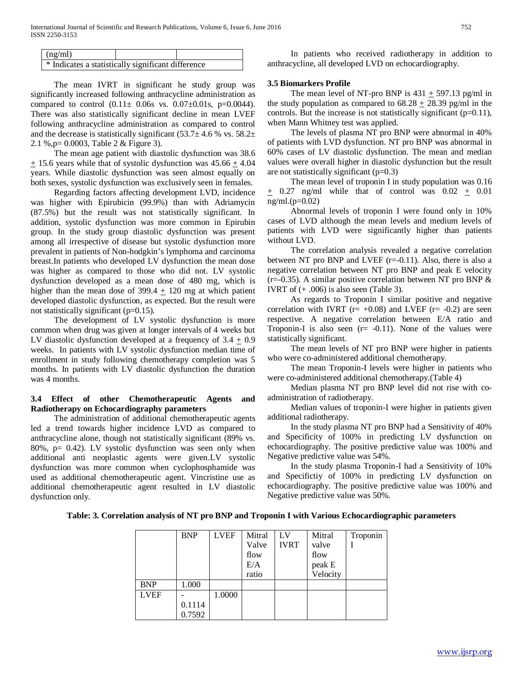| (ng/ml)                                            |                    |  | In patients |
|----------------------------------------------------|--------------------|--|-------------|
| * Indicates a statistically significant difference | anthracycline, all |  |             |

 The mean IVRT in significant he study group was significantly increased following anthracycline administration as compared to control  $(0.11 \pm 0.06s$  vs.  $0.07 \pm 0.01s$ , p=0.0044). There was also statistically significant decline in mean LVEF following anthracycline administration as compared to control and the decrease is statistically significant  $(53.7 \pm 4.6 \% \text{ vs. } 58.2 \pm \text{ } 1)$ 2.1 %,p= 0.0003, Table 2 & Figure 3).

 The mean age patient with diastolic dysfunction was 38.6  $+$  15.6 years while that of systolic dysfunction was 45.66  $+$  4.04 years. While diastolic dysfunction was seen almost equally on both sexes, systolic dysfunction was exclusively seen in females.

 Regarding factors affecting development LVD, incidence was higher with Epirubicin (99.9%) than with Adriamycin (87.5%) but the result was not statistically significant. In addition, systolic dysfunction was more common in Epirubin group. In the study group diastolic dysfunction was present among all irrespective of disease but systolic dysfunction more prevalent in patients of Non-hodgkin's lymphoma and carcinoma breast.In patients who developed LV dysfunction the mean dose was higher as compared to those who did not. LV systolic dysfunction developed as a mean dose of 480 mg, which is higher than the mean dose of 399.4  $\pm$  120 mg at which patient developed diastolic dysfunction, as expected. But the result were not statistically significant (p=0.15).

 The development of LV systolic dysfunction is more common when drug was given at longer intervals of 4 weeks but LV diastolic dysfunction developed at a frequency of  $3.4 \pm 0.9$ weeks. In patients with LV systolic dysfunction median time of enrollment in study following chemotherapy completion was 5 months. In patients with LV diastolic dysfunction the duration was 4 months.

## **3.4 Effect of other Chemotherapeutic Agents and Radiotherapy on Echocardiography parameters**

 The administration of additional chemotherapeutic agents led a trend towards higher incidence LVD as compared to anthracycline alone, though not statistically significant (89% vs. 80%,  $p = 0.42$ ). LV systolic dysfunction was seen only when additional anti neoplastic agents were given.LV systolic dysfunction was more common when cyclophosphamide was used as additional chemotherapeutic agent. Vincristine use as additional chemotherapeutic agent resulted in LV diastolic dysfunction only.

who received radiotherapy in addition to developed LVD on echocardiography.

#### **3.5 Biomarkers Profile**

The mean level of NT-pro BNP is  $431 + 597.13$  pg/ml in the study population as compared to  $68.28 + 28.39$  pg/ml in the controls. But the increase is not statistically significant  $(p=0.11)$ , when Mann Whitney test was applied.

 The levels of plasma NT pro BNP were abnormal in 40% of patients with LVD dysfunction. NT pro BNP was abnormal in 60% cases of LV diastolic dysfunction. The mean and median values were overall higher in diastolic dysfunction but the result are not statistically significant  $(p=0.3)$ 

 The mean level of troponin I in study population was 0.16  $+$  0.27 ng/ml while that of control was  $0.02 + 0.01$ ng/ml.(p=0.02)

 Abnormal levels of troponin I were found only in 10% cases of LVD although the mean levels and medium levels of patients with LVD were significantly higher than patients without LVD.

 The correlation analysis revealed a negative correlation between NT pro BNP and LVEF  $(r=-0.11)$ . Also, there is also a negative correlation between NT pro BNP and peak E velocity  $(r=-0.35)$ . A similar positive correlation between NT pro BNP & IVRT of  $(+.006)$  is also seen (Table 3).

 As regards to Troponin I similar positive and negative correlation with IVRT ( $r=+0.08$ ) and LVEF ( $r=-0.2$ ) are seen respective. A negative correlation between E/A ratio and Troponin-I is also seen  $(r = -0.11)$ . None of the values were statistically significant.

 The mean levels of NT pro BNP were higher in patients who were co-administered additional chemotherapy.

 The mean Troponin-I levels were higher in patients who were co-administered additional chemotherapy.(Table 4)

 Median plasma NT pro BNP level did not rise with coadministration of radiotherapy.

 Median values of troponin-I were higher in patients given additional radiotherapy.

 In the study plasma NT pro BNP had a Sensitivity of 40% and Specificity of 100% in predicting LV dysfunction on echocardiography. The positive predictive value was 100% and Negative predictive value was 54%.

 In the study plasma Troponin-I had a Sensitivity of 10% and Specifictiy of 100% in predicting LV dysfunction on echocardiography. The positive predictive value was 100% and Negative predictive value was 50%.

#### **Table: 3. Correlation analysis of NT pro BNP and Troponin I with Various Echocardiographic parameters**

|             | <b>BNP</b> | <b>LVEF</b> | Mitral | LV          | Mitral   | Troponin |
|-------------|------------|-------------|--------|-------------|----------|----------|
|             |            |             | Valve  | <b>IVRT</b> | valve    |          |
|             |            |             | flow   |             | flow     |          |
|             |            |             | E/A    |             | peak E   |          |
|             |            |             | ratio  |             | Velocity |          |
| <b>BNP</b>  | 1.000      |             |        |             |          |          |
| <b>LVEF</b> |            | 1.0000      |        |             |          |          |
|             | 0.1114     |             |        |             |          |          |
|             | 0.7592     |             |        |             |          |          |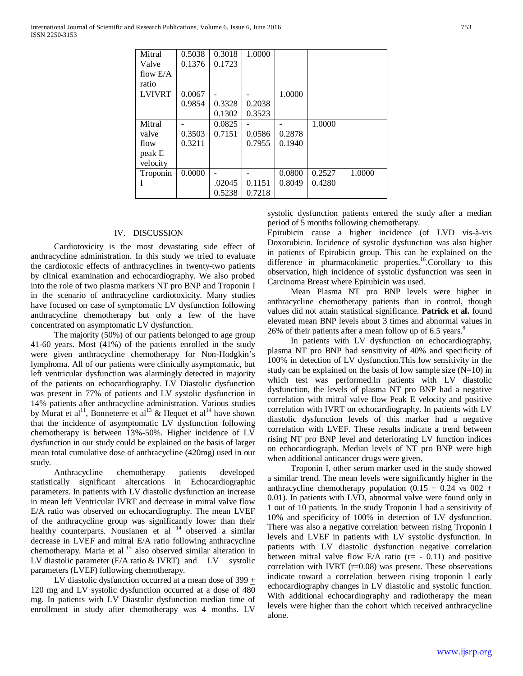International Journal of Scientific and Research Publications, Volume 6, Issue 6, June 2016 753 ISSN 2250-3153

| Mitral        | 0.5038 | 0.3018 | 1.0000 |        |        |        |
|---------------|--------|--------|--------|--------|--------|--------|
| Valve         | 0.1376 | 0.1723 |        |        |        |        |
| flow $E/A$    |        |        |        |        |        |        |
| ratio         |        |        |        |        |        |        |
| <b>LVIVRT</b> | 0.0067 |        |        | 1.0000 |        |        |
|               | 0.9854 | 0.3328 | 0.2038 |        |        |        |
|               |        | 0.1302 | 0.3523 |        |        |        |
| Mitral        |        | 0.0825 |        |        | 1.0000 |        |
| valve         | 0.3503 | 0.7151 | 0.0586 | 0.2878 |        |        |
| flow          | 0.3211 |        | 0.7955 | 0.1940 |        |        |
| peak E        |        |        |        |        |        |        |
| velocity      |        |        |        |        |        |        |
| Troponin      | 0.0000 |        |        | 0.0800 | 0.2527 | 1.0000 |
| T             |        | .02045 | 0.1151 | 0.8049 | 0.4280 |        |
|               |        | 0.5238 | 0.7218 |        |        |        |

## IV. DISCUSSION

 Cardiotoxicity is the most devastating side effect of anthracycline administration. In this study we tried to evaluate the cardiotoxic effects of anthracyclines in twenty-two patients by clinical examination and echocardiography. We also probed into the role of two plasma markers NT pro BNP and Troponin I in the scenario of anthracycline cardiotoxicity. Many studies have focused on case of symptomatic LV dysfunction following anthracycline chemotherapy but only a few of the have concentrated on asymptomatic LV dysfunction.

 The majority (50%) of our patients belonged to age group 41-60 years. Most (41%) of the patients enrolled in the study were given anthracycline chemotherapy for Non-Hodgkin's lymphoma. All of our patients were clinically asymptomatic, but left ventricular dysfunction was alarmingly detected in majority of the patients on echocardiography. LV Diastolic dysfunction was present in 77% of patients and LV systolic dysfunction in 14% patients after anthracycline administration. Various studies by Murat et al<sup>11</sup>, Bonneterre et al<sup>13</sup> & Hequet et al<sup>14</sup> have shown that the incidence of asymptomatic LV dysfunction following chemotherapy is between 13%-50%. Higher incidence of LV dysfunction in our study could be explained on the basis of larger mean total cumulative dose of anthracycline (420mg) used in our study.

 Anthracycline chemotherapy patients developed statistically significant altercations in Echocardiographic parameters. In patients with LV diastolic dysfunction an increase in mean left Ventricular IVRT and decrease in mitral valve flow E/A ratio was observed on echocardiography. The mean LVEF of the anthracycline group was significantly lower than their healthy counterparts. Nousianen et al <sup>14</sup> observed a similar decrease in LVEF and mitral E/A ratio following anthracycline chemotherapy. Maria et al <sup>15</sup> also observed similar alteration in LV diastolic parameter  $(E/A \text{ ratio} \& \text{IVRT})$  and LV systolic parameters (LVEF) following chemotherapy.

 LV diastolic dysfunction occurred at a mean dose of 399 + 120 mg and LV systolic dysfunction occurred at a dose of 480 mg. In patients with LV Diastolic dysfunction median time of enrollment in study after chemotherapy was 4 months. LV

systolic dysfunction patients entered the study after a median period of 5 months following chemotherapy.

Epirubicin cause a higher incidence (of LVD vis-à-vis Doxorubicin. Incidence of systolic dysfunction was also higher in patients of Epirubicin group. This can be explained on the difference in pharmacokinetic properties.<sup>16</sup>.Corollary to this observation, high incidence of systolic dysfunction was seen in Carcinoma Breast where Epirubicin was used.

 Mean Plasma NT pro BNP levels were higher in anthracycline chemotherapy patients than in control, though values did not attain statistical significance. **Patrick et al.** found elevated mean BNP levels about 3 times and abnormal values in 26% of their patients after a mean follow up of 6.5 years.<sup>8</sup>

 In patients with LV dysfunction on echocardiography, plasma NT pro BNP had sensitivity of 40% and specificity of 100% in detection of LV dysfunction.This low sensitivity in the study can be explained on the basis of low sample size  $(N=10)$  in which test was performed.In patients with LV diastolic dysfunction, the levels of plasma NT pro BNP had a negative correlation with mitral valve flow Peak E velocity and positive correlation with IVRT on echocardiography. In patients with LV diastolic dysfunction levels of this marker had a negative correlation with LVEF. These results indicate a trend between rising NT pro BNP level and deteriorating LV function indices on echocardiograph. Median levels of NT pro BNP were high when additional anticancer drugs were given.

 Troponin I, other serum marker used in the study showed a similar trend. The mean levels were significantly higher in the anthracycline chemotherapy population (0.15  $\pm$  0.24 vs 002  $\pm$ 0.01). In patients with LVD, abnormal valve were found only in 1 out of 10 patients. In the study Troponin I had a sensitivity of 10% and specificity of 100% in detection of LV dysfunction. There was also a negative correlation between rising Troponin I levels and LVEF in patients with LV systolic dysfunction. In patients with LV diastolic dysfunction negative correlation between mitral valve flow  $E/A$  ratio ( $r = -0.11$ ) and positive correlation with IVRT  $(r=0.08)$  was present. These observations indicate toward a correlation between rising troponin I early echocardiography changes in LV diastolic and systolic function. With additional echocardiography and radiotherapy the mean levels were higher than the cohort which received anthracycline alone.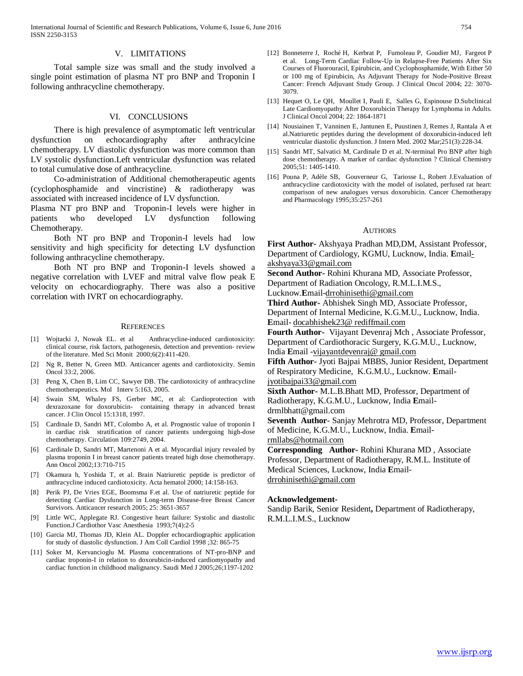#### V. LIMITATIONS

 Total sample size was small and the study involved a single point estimation of plasma NT pro BNP and Troponin I following anthracycline chemotherapy.

#### VI. CONCLUSIONS

 There is high prevalence of asymptomatic left ventricular dysfunction on echocardiography after anthracylcine chemotherapy. LV diastolic dysfunction was more common than LV systolic dysfunction.Left ventricular dysfunction was related to total cumulative dose of anthracycline.

 Co-administration of Additional chemotherapeutic agents (cyclophosphamide and vincristine) & radiotherapy was associated with increased incidence of LV dysfunction.

Plasma NT pro BNP and Troponin-I levels were higher in patients who developed LV dysfunction following Chemotherapy.

 Both NT pro BNP and Troponin-I levels had low sensitivity and high specificity for detecting LV dysfunction following anthracycline chemotherapy.

 Both NT pro BNP and Troponin-I levels showed a negative correlation with LVEF and mitral valve flow peak E velocity on echocardiography. There was also a positive correlation with IVRT on echocardiography.

#### **REFERENCES**

- [1] Wojtacki J, Nowak EL. et al Anthracycline-induced cardiotoxicity: clinical course, risk factors, pathogenesis, detection and prevention- review of the literature. Med Sci Monit 2000;6(2):411-420.
- [2] Ng R, Better N, Green MD. Anticancer agents and cardiotoxicity. Semin Oncol 33:2, 2006.
- [3] Peng X, Chen B, Lim CC, Sawyer DB. The cardiotoxicity of anthracycline chemotherapeutics. Mol Interv 5:163, 2005.
- [4] Swain SM, Whaley FS, Gerber MC, et al: Cardioprotection with dexrazoxane for doxorubicin- containing therapy in advanced breast cancer. J Clin Oncol 15:1318, 1997.
- [5] Cardinale D, Sandri MT, Colombo A, et al. Prognostic value of troponin I in cardiac risk stratification of cancer patients undergoing high-dose chemotherapy. Circulation 109:2749, 2004.
- [6] Cardinale D, Sandri MT, Martenoni A et al. Myocardial injury revealed by plasma troponin I in breast cancer patients treated high dose chemotherapy. Ann Oncol 2002;13:710-715
- [7] Okamura h, Yoshida T, et al. Brain Natriuretic peptide is predictor of anthracycline induced cardiotoxicity. Acta hematol 2000; 14:158-163.
- [8] Perik PJ, De Vries EGE, Boomsma F.et al. Use of natriuretic peptide for detecting Cardiac Dysfunction in Long-term Disease-free Breast Cancer Survivors. Anticancer research 2005; 25: 3651-3657
- [9] Little WC, Applegate RJ. Congestive heart failure: Systolic and diastolic Function.J Cardiothor Vasc Anesthesia 1993;7(4):2-5
- [10] Garcia MJ, Thomas JD, Klein AL. Doppler echocardiographic application for study of diastolic dysfunction. J Am Coll Cardiol 1998 ;32: 865-75
- [11] Soker M, Kervancioglu M. Plasma concentrations of NT-pro-BNP and cardiac troponin-I in relation to doxorubicin-induced cardiomyopathy and cardiac function in childhood malignancy. Saudi Med J 2005;26;1197-1202
- [12] Bonneterre J, Roché H, Kerbrat P, Fumoleau P, Goudier MJ, Fargeot P et al. Long-Term Cardiac Follow-Up in Relapse-Free Patients After Six Courses of Fluorouracil, Epirubicin, and Cyclophosphamide, With Either 50 or 100 mg of Epirubicin, As Adjuvant Therapy for Node-Positive Breast Cancer: French Adjuvant Study Group. J Clinical Oncol 2004; 22: 3070- 3079.
- [13] Hequet O, Le QH, Moullet I, Pauli E, Salles G, Espinouse D.Subclinical Late Cardiomyopathy After Doxorubicin Therapy for Lymphoma in Adults. J Clinical Oncol 2004; 22: 1864-1871
- [14] Nousiainen T, Vanninen E, Jantunen E, Puustinen J, Remes J, Rantala A et al.Natriuretic peptides during the development of doxorubicin-induced left ventricular diastolic dysfunction. J Intern Med. 2002 Mar;251(3):228-34.
- [15] Sandri MT, Salvatici M, Cardinale D et al. N-terminal Pro BNP after high dose chemotherapy. A marker of cardiac dysfunction ? Clinical Chemistry 2005;51: 1405-1410.
- [16] Pouna P, Adèle SB, Gouverneur G, Tariosse L, Robert J.Evaluation of anthracycline cardiotoxicity with the model of isolated, perfused rat heart: comparison of new analogues versus doxorubicin. Cancer Chemotherapy and Pharmacology 1995;35:257-261

#### **AUTHORS**

**First Author-** Akshyaya Pradhan MD,DM, Assistant Professor, Department of Cardiology, KGMU, Lucknow, India. **E**mailakshyaya33@gmail.com

**Second Author-** Rohini Khurana MD, Associate Professor,

Department of Radiation Oncology, R.M.L.I.M.S.,

Lucknow.**E**mail-drrohinisethi@gmail.com

**Third Author-** Abhishek Singh MD, Associate Professor, Department of Internal Medicine, K.G.M.U., Lucknow, India. **E**mail- docabhishek23@ rediffmail.com

**Fourth Author-** Vijayant Devenraj Mch , Associate Professor, Department of Cardiothoracic Surgery, K.G.M.U., Lucknow,

India **E**mail -vijayantdevenraj@ gmail.com

**Fifth Author-** Jyoti Bajpai MBBS, Junior Resident, Department of Respiratory Medicine, K.G.M.U., Lucknow. **E**mail-

jyotibajpai33@gmail.com

**Sixth Author-** M.L.B.Bhatt MD, Professor, Department of Radiotherapy, K.G.M.U., Lucknow, India **E**mail-

drmlbhatt@gmail.com

**Seventh Author**- Sanjay Mehrotra MD, Professor, Department of Medicine, K.G.M.U., Lucknow, India. **E**mail-

rmllabs@hotmail.com

**Corresponding Author-** Rohini Khurana MD , Associate Professor, Department of Radiotherapy, R.M.L. Institute of Medical Sciences, Lucknow, India **E**maildrrohinisethi@gmail.com

#### **Acknowledgement-**

Sandip Barik, Senior Resident**,** Department of Radiotherapy, R.M.L.I.M.S., Lucknow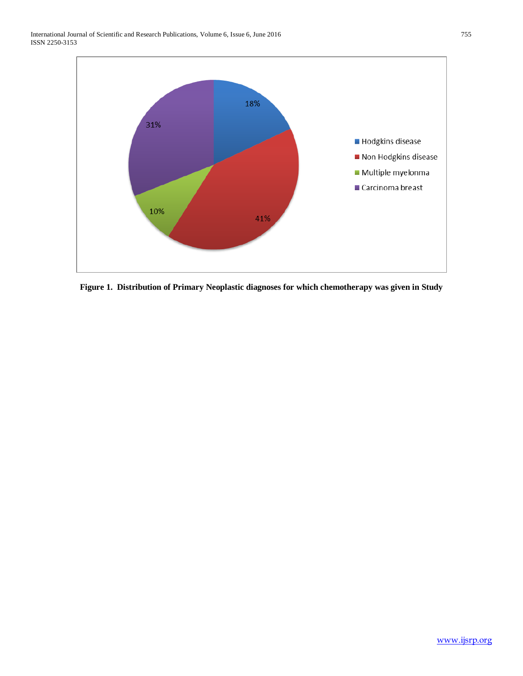

**Figure 1. Distribution of Primary Neoplastic diagnoses for which chemotherapy was given in Study**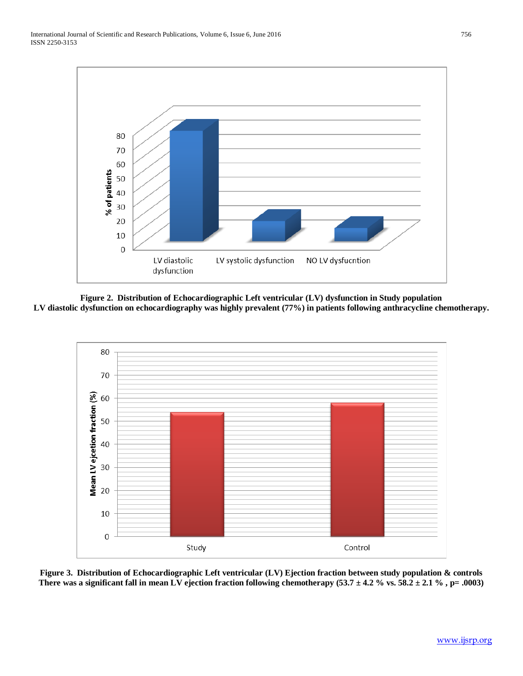

**Figure 2. Distribution of Echocardiographic Left ventricular (LV) dysfunction in Study population LV diastolic dysfunction on echocardiography was highly prevalent (77%) in patients following anthracycline chemotherapy.**



**Figure 3. Distribution of Echocardiographic Left ventricular (LV) Ejection fraction between study population & controls** There was a significant fall in mean LV ejection fraction following chemotherapy  $(53.7 \pm 4.2 \% \text{ vs. } 58.2 \pm 2.1 \% , p = .0003)$